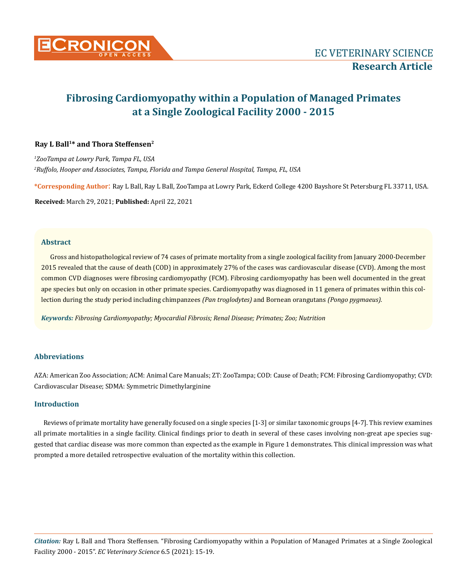

# **Fibrosing Cardiomyopathy within a Population of Managed Primates at a Single Zoological Facility 2000 - 2015**

# **Ray L Ball1\* and Thora Steffensen2**

*1 ZooTampa at Lowry Park, Tampa FL, USA 2 Ruffolo, Hooper and Associates, Tampa, Florida and Tampa General Hospital, Tampa, FL, USA*

**\*Corresponding Author**: Ray L Ball, Ray L Ball, ZooTampa at Lowry Park, Eckerd College 4200 Bayshore St Petersburg FL 33711, USA.

**Received:** March 29, 2021; **Published:** April 22, 2021

## **Abstract**

Gross and histopathological review of 74 cases of primate mortality from a single zoological facility from January 2000-December 2015 revealed that the cause of death (COD) in approximately 27% of the cases was cardiovascular disease (CVD). Among the most common CVD diagnoses were fibrosing cardiomyopathy (FCM). Fibrosing cardiomyopathy has been well documented in the great ape species but only on occasion in other primate species. Cardiomyopathy was diagnosed in 11 genera of primates within this collection during the study period including chimpanzees *(Pan troglodytes)* and Bornean orangutans *(Pongo pygmaeus).*

*Keywords: Fibrosing Cardiomyopathy; Myocardial Fibrosis; Renal Disease; Primates; Zoo; Nutrition*

## **Abbreviations**

AZA: American Zoo Association; ACM: Animal Care Manuals; ZT: ZooTampa; COD: Cause of Death; FCM: Fibrosing Cardiomyopathy; CVD: Cardiovascular Disease; SDMA: Symmetric Dimethylarginine

## **Introduction**

Reviews of primate mortality have generally focused on a single species [1-3] or similar taxonomic groups [4-7]. This review examines all primate mortalities in a single facility. Clinical findings prior to death in several of these cases involving non-great ape species suggested that cardiac disease was more common than expected as the example in Figure 1 demonstrates. This clinical impression was what prompted a more detailed retrospective evaluation of the mortality within this collection.

*Citation:* Ray L Ball and Thora Steffensen*.* "Fibrosing Cardiomyopathy within a Population of Managed Primates at a Single Zoological Facility 2000 - 2015". *EC Veterinary Science* 6.5 (2021): 15-19.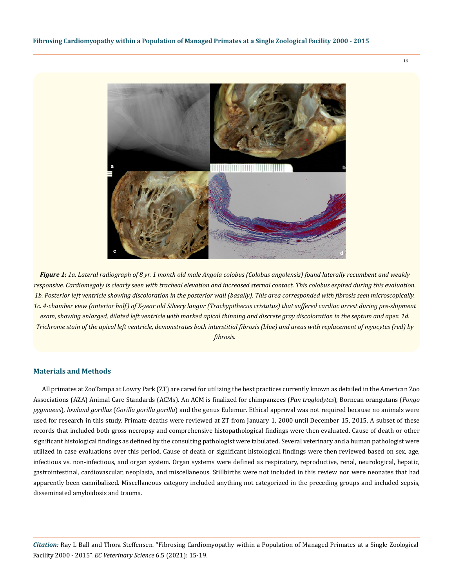16



*Figure 1: 1a. Lateral radiograph of 8 yr. 1 month old male Angola colobus (Colobus angolensis) found laterally recumbent and weakly responsive. Cardiomegaly is clearly seen with tracheal elevation and increased sternal contact. This colobus expired during this evaluation. 1b. Posterior left ventricle showing discoloration in the posterior wall (basally). This area corresponded with fibrosis seen microscopically. 1c. 4-chamber view (anterior half) of X-year old Silvery langur (Trachypithecus cristatus) that suffered cardiac arrest during pre-shipment exam, showing enlarged, dilated left ventricle with marked apical thinning and discrete gray discoloration in the septum and apex. 1d. Trichrome stain of the apical left ventricle, demonstrates both interstitial fibrosis (blue) and areas with replacement of myocytes (red) by fibrosis.*

#### **Materials and Methods**

All primates at ZooTampa at Lowry Park (ZT) are cared for utilizing the best practices currently known as detailed in the American Zoo Associations (AZA) Animal Care Standards (ACMs). An ACM is finalized for chimpanzees (*Pan troglodytes*), Bornean orangutans (*Pongo pygmaeus*), *lowland gorillas* (*Gorilla gorilla gorilla*) and the genus Eulemur*.* Ethical approval was not required because no animals were used for research in this study. Primate deaths were reviewed at ZT from January 1, 2000 until December 15, 2015. A subset of these records that included both gross necropsy and comprehensive histopathological findings were then evaluated. Cause of death or other significant histological findings as defined by the consulting pathologist were tabulated. Several veterinary and a human pathologist were utilized in case evaluations over this period. Cause of death or significant histological findings were then reviewed based on sex, age, infectious vs. non-infectious, and organ system. Organ systems were defined as respiratory, reproductive, renal, neurological, hepatic, gastrointestinal, cardiovascular, neoplasia, and miscellaneous. Stillbirths were not included in this review nor were neonates that had apparently been cannibalized. Miscellaneous category included anything not categorized in the preceding groups and included sepsis, disseminated amyloidosis and trauma.

*Citation:* Ray L Ball and Thora Steffensen*.* "Fibrosing Cardiomyopathy within a Population of Managed Primates at a Single Zoological Facility 2000 - 2015". *EC Veterinary Science* 6.5 (2021): 15-19.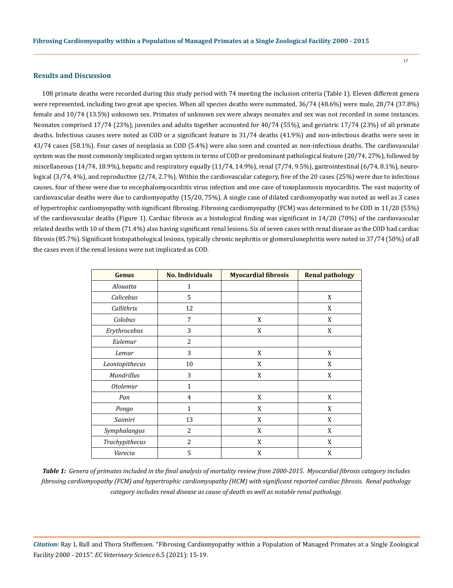#### **Results and Discussion**

108 primate deaths were recorded during this study period with 74 meeting the inclusion criteria (Table 1). Eleven different genera were represented, including two great ape species. When all species deaths were summated, 36/74 (48.6%) were male, 28/74 (37.8%) female and 10/74 (13.5%) unknown sex. Primates of unknown sex were always neonates and sex was not recorded in some instances. Neonates comprised 17/74 (23%), juveniles and adults together accounted for 40/74 (55%), and geriatric 17/74 (23%) of all primate deaths. Infectious causes were noted as COD or a significant feature in 31/74 deaths (41.9%) and non-infectious deaths were seen in 43/74 cases (58.1%). Four cases of neoplasia as COD (5.4%) were also seen and counted as non-infectious deaths. The cardiovascular system was the most commonly implicated organ system in terms of COD or predominant pathological feature (20/74, 27%), followed by miscellaneous (14/74, 18.9%), hepatic and respiratory equally (11/74, 14.9%), renal (7/74, 9.5%), gastrointestinal (6/74, 8.1%), neurological (3/74, 4%), and reproductive (2/74, 2.7%). Within the cardiovascular category, five of the 20 cases (25%) were due to infectious causes, four of these were due to encephalomyocarditis virus infection and one case of toxoplasmosis myocarditis. The vast majority of cardiovascular deaths were due to cardiomyopathy (15/20, 75%). A single case of dilated cardiomyopathy was noted as well as 3 cases of hypertrophic cardiomyopathy with significant fibrosing. Fibrosing cardiomyopathy (FCM) was determined to be COD in 11/20 (55%) of the cardiovascular deaths (Figure 1). Cardiac fibrosis as a histological finding was significant in 14/20 (70%) of the cardiovascular related deaths with 10 of them (71.4%) also having significant renal lesions. Six of seven cases with renal disease as the COD had cardiac fibrosis (85.7%). Significant histopathological lesions, typically chronic nephritis or glomerulonephritis were noted in 37/74 (50%) of all the cases even if the renal lesions were not implicated as COD.

| Genus           | <b>No. Individuals</b> | <b>Myocardial fibrosis</b> | <b>Renal pathology</b> |
|-----------------|------------------------|----------------------------|------------------------|
| Alouatta        | 1                      |                            |                        |
| Calicebus       | 5                      |                            | X                      |
| Callithrix      | 12                     |                            | X                      |
| Colobus         | 7                      | X                          | X                      |
| Erythrocebus    | 3                      | X                          | X                      |
| Eulemur         | $\overline{c}$         |                            |                        |
| Lemur           | 3                      | X                          | X                      |
| Leontopithecus  | 10                     | X                          | X                      |
| Mandrillus      | 3                      | X                          | X                      |
| <b>Otolemur</b> | 1                      |                            |                        |
| Pan             | 4                      | X                          | X                      |
| Pongo           | 1                      | X                          | X                      |
| Saimiri         | 13                     | X                          | X                      |
| Symphalangus    | 2                      | X                          | X                      |
| Trachypithecus  | 2                      | X                          | X                      |
| Varecia         | 5                      | X                          | X                      |

*Table 1: Genera of primates included in the final analysis of mortality review from 2000-2015. Myocardial fibrosis category includes fibrosing cardiomyopathy (FCM) and hypertrophic cardiomyopathy (HCM) with significant reported cardiac fibrosis. Renal pathology category includes renal disease as cause of death as well as notable renal pathology.* 

*Citation:* Ray L Ball and Thora Steffensen*.* "Fibrosing Cardiomyopathy within a Population of Managed Primates at a Single Zoological Facility 2000 - 2015". *EC Veterinary Science* 6.5 (2021): 15-19.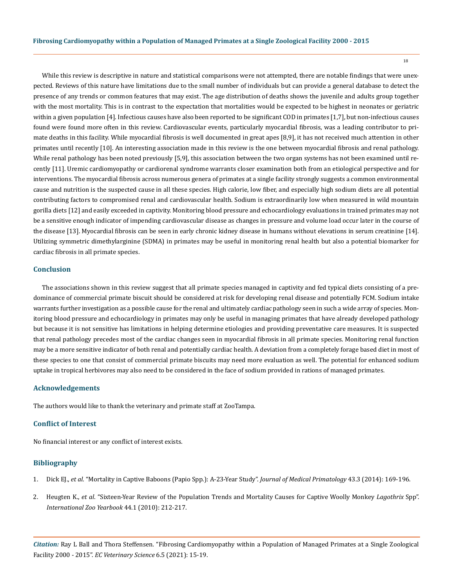While this review is descriptive in nature and statistical comparisons were not attempted, there are notable findings that were unexpected. Reviews of this nature have limitations due to the small number of individuals but can provide a general database to detect the presence of any trends or common features that may exist. The age distribution of deaths shows the juvenile and adults group together with the most mortality. This is in contrast to the expectation that mortalities would be expected to be highest in neonates or geriatric within a given population [4]. Infectious causes have also been reported to be significant COD in primates [1,7], but non-infectious causes found were found more often in this review. Cardiovascular events, particularly myocardial fibrosis, was a leading contributor to primate deaths in this facility. While myocardial fibrosis is well documented in great apes [8,9], it has not received much attention in other primates until recently [10]. An interesting association made in this review is the one between myocardial fibrosis and renal pathology. While renal pathology has been noted previously [5,9], this association between the two organ systems has not been examined until recently [11]. Uremic cardiomyopathy or cardiorenal syndrome warrants closer examination both from an etiological perspective and for interventions. The myocardial fibrosis across numerous genera of primates at a single facility strongly suggests a common environmental cause and nutrition is the suspected cause in all these species. High calorie, low fiber, and especially high sodium diets are all potential contributing factors to compromised renal and cardiovascular health. Sodium is extraordinarily low when measured in wild mountain gorilla diets [12] and easily exceeded in captivity. Monitoring blood pressure and echocardiology evaluations in trained primates may not be a sensitive enough indicator of impending cardiovascular disease as changes in pressure and volume load occur later in the course of the disease [13]. Myocardial fibrosis can be seen in early chronic kidney disease in humans without elevations in serum creatinine [14]. Utilizing symmetric dimethylarginine (SDMA) in primates may be useful in monitoring renal health but also a potential biomarker for cardiac fibrosis in all primate species.

## **Conclusion**

The associations shown in this review suggest that all primate species managed in captivity and fed typical diets consisting of a predominance of commercial primate biscuit should be considered at risk for developing renal disease and potentially FCM. Sodium intake warrants further investigation as a possible cause for the renal and ultimately cardiac pathology seen in such a wide array of species. Monitoring blood pressure and echocardiology in primates may only be useful in managing primates that have already developed pathology but because it is not sensitive has limitations in helping determine etiologies and providing preventative care measures. It is suspected that renal pathology precedes most of the cardiac changes seen in myocardial fibrosis in all primate species. Monitoring renal function may be a more sensitive indicator of both renal and potentially cardiac health. A deviation from a completely forage based diet in most of these species to one that consist of commercial primate biscuits may need more evaluation as well. The potential for enhanced sodium uptake in tropical herbivores may also need to be considered in the face of sodium provided in rations of managed primates.

#### **Acknowledgements**

The authors would like to thank the veterinary and primate staff at ZooTampa.

# **Conflict of Interest**

No financial interest or any conflict of interest exists.

#### **Bibliography**

- 1. Dick EJ., *et al*[. "Mortality in Captive Baboons \(Papio Spp.\): A-23-Year Study".](https://pubmed.ncbi.nlm.nih.gov/24483852/) *Journal of Medical Primatology* 43.3 (2014): 169-196.
- 2. Heugten K., *et al*[. "Sixteen-Year Review of the Population Trends and Mortality Causes for Captive Woolly Monkey](https://zslpublications.onlinelibrary.wiley.com/doi/abs/10.1111/j.1748-1090.2009.00106.x) *Lagothrix* Spp". *[International Zoo Yearbook](https://zslpublications.onlinelibrary.wiley.com/doi/abs/10.1111/j.1748-1090.2009.00106.x)* 44.1 (2010): 212-217.

*Citation:* Ray L Ball and Thora Steffensen*.* "Fibrosing Cardiomyopathy within a Population of Managed Primates at a Single Zoological Facility 2000 - 2015". *EC Veterinary Science* 6.5 (2021): 15-19.

18